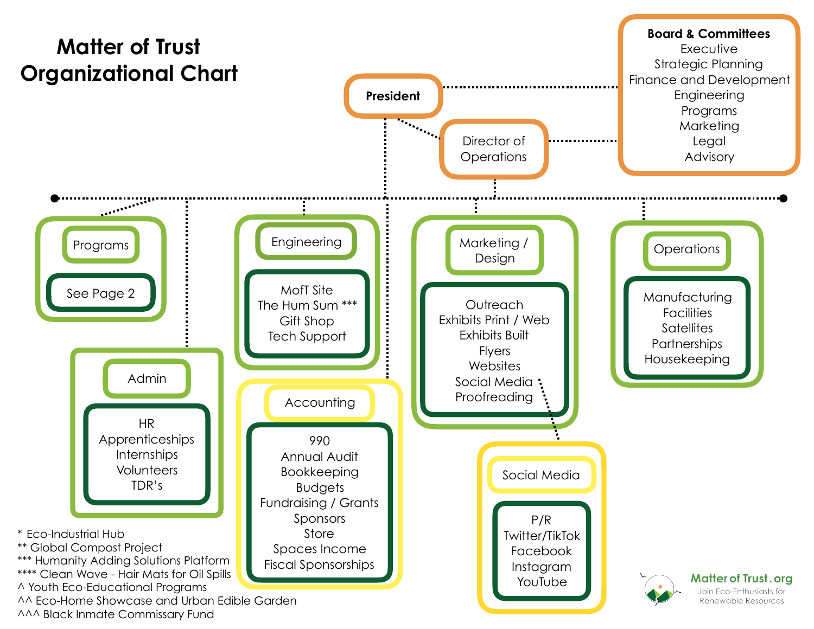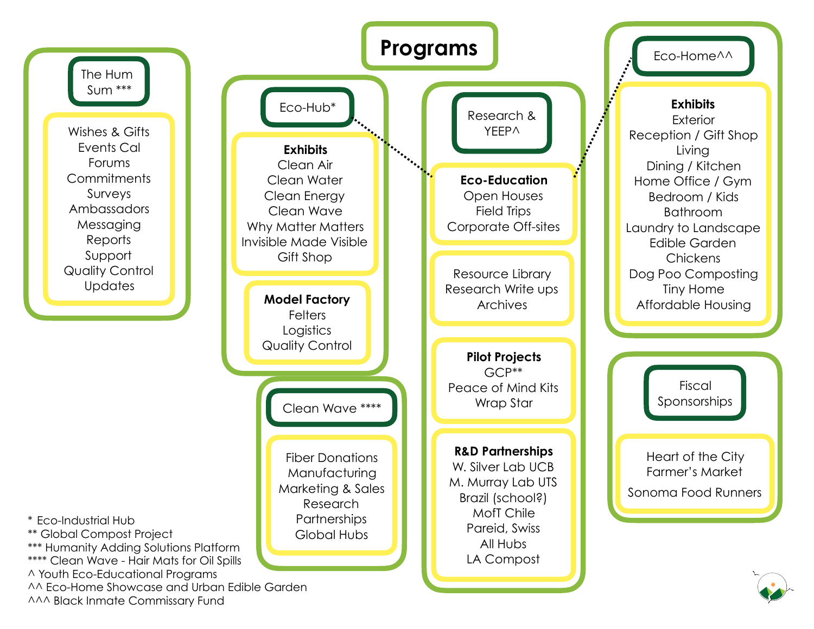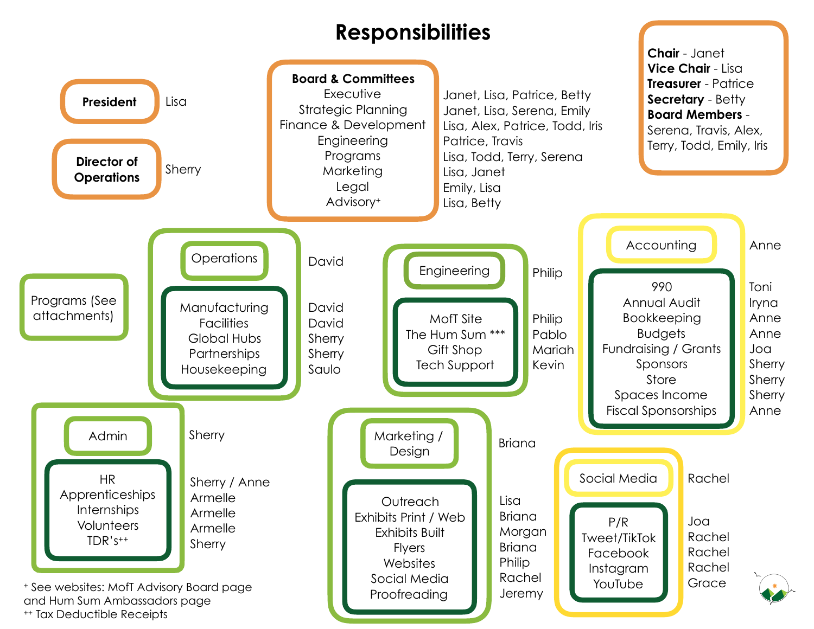## **Responsibilities**

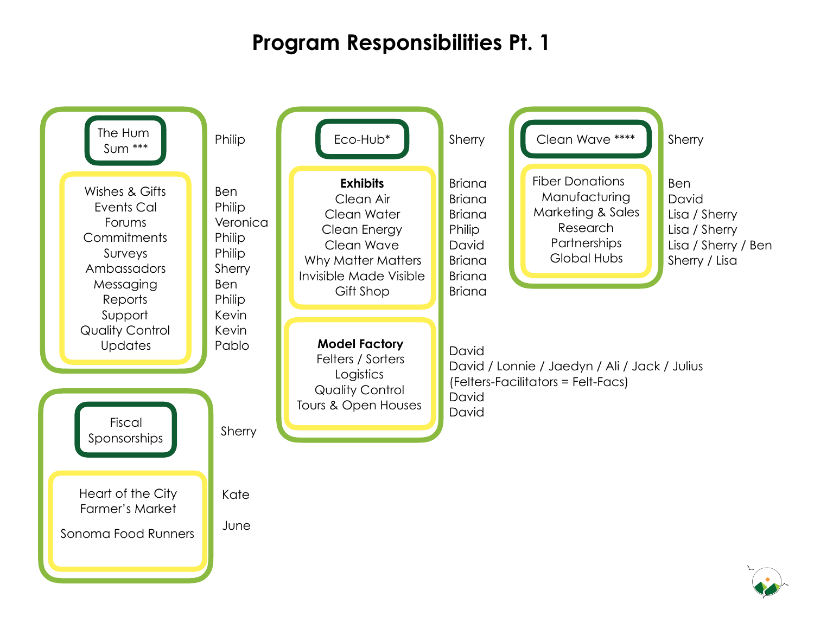## **Program Responsibilities Pt. 1**